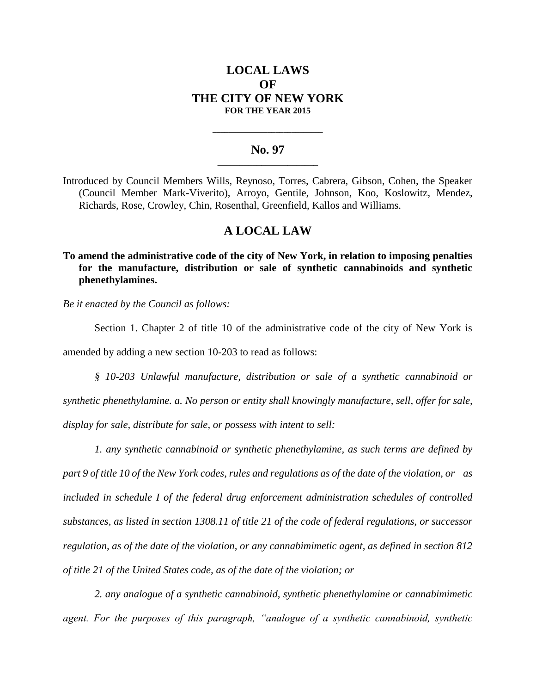## **LOCAL LAWS OF THE CITY OF NEW YORK FOR THE YEAR 2015**

## **No. 97 \_\_\_\_\_\_\_\_\_\_\_\_\_\_\_\_\_\_\_\_\_\_\_**

**\_\_\_\_\_\_\_\_\_\_\_\_\_\_\_\_\_\_\_\_\_\_\_\_\_\_\_\_**

Introduced by Council Members Wills, Reynoso, Torres, Cabrera, Gibson, Cohen, the Speaker (Council Member Mark-Viverito), Arroyo, Gentile, Johnson, Koo, Koslowitz, Mendez, Richards, Rose, Crowley, Chin, Rosenthal, Greenfield, Kallos and Williams.

## **A LOCAL LAW**

**To amend the administrative code of the city of New York, in relation to imposing penalties for the manufacture, distribution or sale of synthetic cannabinoids and synthetic phenethylamines.**

*Be it enacted by the Council as follows:*

Section 1. Chapter 2 of title 10 of the administrative code of the city of New York is amended by adding a new section 10-203 to read as follows:

*§ 10-203 Unlawful manufacture, distribution or sale of a synthetic cannabinoid or synthetic phenethylamine. a. No person or entity shall knowingly manufacture, sell, offer for sale, display for sale, distribute for sale, or possess with intent to sell:* 

*1. any synthetic cannabinoid or synthetic phenethylamine, as such terms are defined by part 9 of title 10 of the New York codes, rules and regulations as of the date of the violation, or as included in schedule I of the federal drug enforcement administration schedules of controlled substances, as listed in section 1308.11 of title 21 of the code of federal regulations, or successor regulation, as of the date of the violation, or any cannabimimetic agent, as defined in section 812 of title 21 of the United States code, as of the date of the violation; or* 

*2. any analogue of a synthetic cannabinoid, synthetic phenethylamine or cannabimimetic agent. For the purposes of this paragraph, "analogue of a synthetic cannabinoid, synthetic*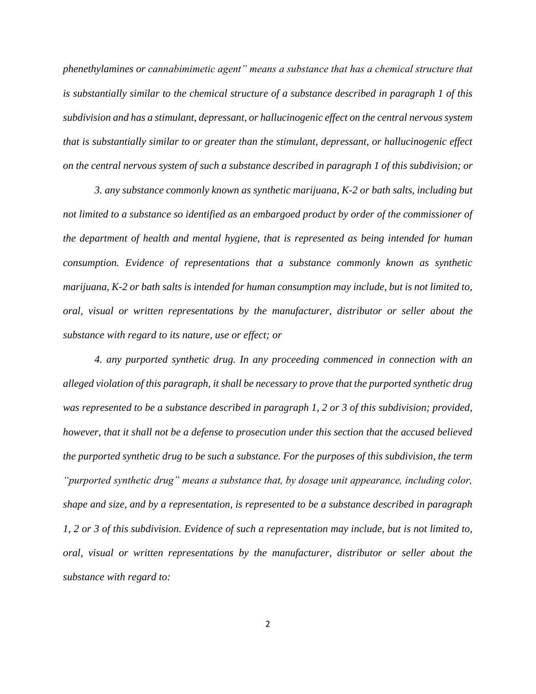*phenethylamines or cannabimimetic agent" means a substance that has a chemical structure that is substantially similar to the chemical structure of a substance described in paragraph 1 of this subdivision and has a stimulant, depressant, or hallucinogenic effect on the central nervous system that is substantially similar to or greater than the stimulant, depressant, or hallucinogenic effect on the central nervous system of such a substance described in paragraph 1 of this subdivision; or*

*3. any substance commonly known as synthetic marijuana, K-2 or bath salts, including but not limited to a substance so identified as an embargoed product by order of the commissioner of the department of health and mental hygiene, that is represented as being intended for human consumption. Evidence of representations that a substance commonly known as synthetic marijuana, K-2 or bath salts is intended for human consumption may include, but is not limited to, oral, visual or written representations by the manufacturer, distributor or seller about the substance with regard to its nature, use or effect; or*

*4. any purported synthetic drug. In any proceeding commenced in connection with an alleged violation of this paragraph, it shall be necessary to prove that the purported synthetic drug was represented to be a substance described in paragraph 1, 2 or 3 of this subdivision; provided, however, that it shall not be a defense to prosecution under this section that the accused believed the purported synthetic drug to be such a substance. For the purposes of this subdivision, the term "purported synthetic drug" means a substance that, by dosage unit appearance, including color, shape and size, and by a representation, is represented to be a substance described in paragraph 1, 2 or 3 of this subdivision. Evidence of such a representation may include, but is not limited to, oral, visual or written representations by the manufacturer, distributor or seller about the substance with regard to:*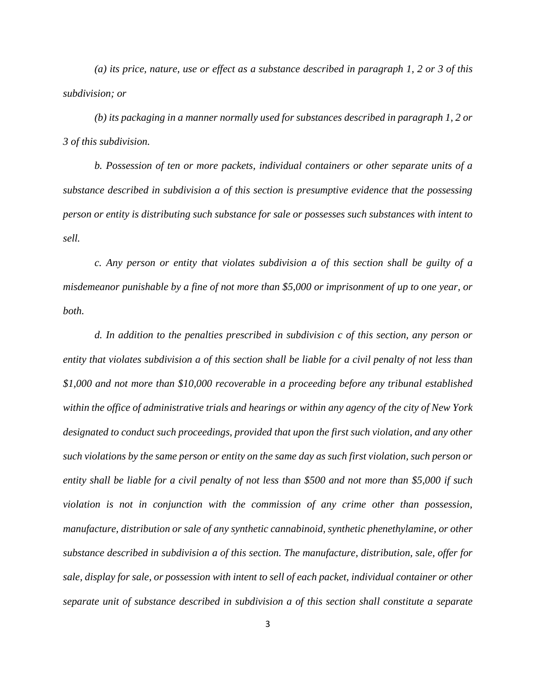*(a) its price, nature, use or effect as a substance described in paragraph 1, 2 or 3 of this subdivision; or*

*(b) its packaging in a manner normally used for substances described in paragraph 1, 2 or 3 of this subdivision.*

*b. Possession of ten or more packets, individual containers or other separate units of a substance described in subdivision a of this section is presumptive evidence that the possessing person or entity is distributing such substance for sale or possesses such substances with intent to sell.*

*c. Any person or entity that violates subdivision a of this section shall be guilty of a misdemeanor punishable by a fine of not more than \$5,000 or imprisonment of up to one year, or both.*

*d. In addition to the penalties prescribed in subdivision c of this section, any person or entity that violates subdivision a of this section shall be liable for a civil penalty of not less than \$1,000 and not more than \$10,000 recoverable in a proceeding before any tribunal established within the office of administrative trials and hearings or within any agency of the city of New York designated to conduct such proceedings, provided that upon the first such violation, and any other such violations by the same person or entity on the same day as such first violation, such person or entity shall be liable for a civil penalty of not less than \$500 and not more than \$5,000 if such violation is not in conjunction with the commission of any crime other than possession, manufacture, distribution or sale of any synthetic cannabinoid, synthetic phenethylamine, or other substance described in subdivision a of this section. The manufacture, distribution, sale, offer for sale, display for sale, or possession with intent to sell of each packet, individual container or other separate unit of substance described in subdivision a of this section shall constitute a separate*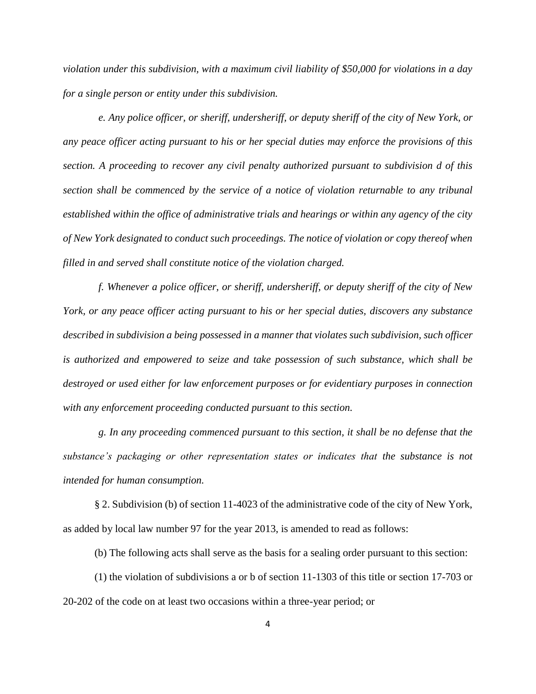*violation under this subdivision, with a maximum civil liability of \$50,000 for violations in a day for a single person or entity under this subdivision.* 

*e. Any police officer, or sheriff, undersheriff, or deputy sheriff of the city of New York, or any peace officer acting pursuant to his or her special duties may enforce the provisions of this section. A proceeding to recover any civil penalty authorized pursuant to subdivision d of this section shall be commenced by the service of a notice of violation returnable to any tribunal established within the office of administrative trials and hearings or within any agency of the city of New York designated to conduct such proceedings. The notice of violation or copy thereof when filled in and served shall constitute notice of the violation charged.*

*f. Whenever a police officer, or sheriff, undersheriff, or deputy sheriff of the city of New York, or any peace officer acting pursuant to his or her special duties, discovers any substance described in subdivision a being possessed in a manner that violates such subdivision, such officer is authorized and empowered to seize and take possession of such substance, which shall be destroyed or used either for law enforcement purposes or for evidentiary purposes in connection with any enforcement proceeding conducted pursuant to this section.*

*g. In any proceeding commenced pursuant to this section, it shall be no defense that the substance's packaging or other representation states or indicates that the substance is not intended for human consumption.*

§ 2. Subdivision (b) of section 11-4023 of the administrative code of the city of New York, as added by local law number 97 for the year 2013, is amended to read as follows:

(b) The following acts shall serve as the basis for a sealing order pursuant to this section:

(1) the violation of subdivisions a or b of section 11-1303 of this title or section 17-703 or 20-202 of the code on at least two occasions within a three-year period; or